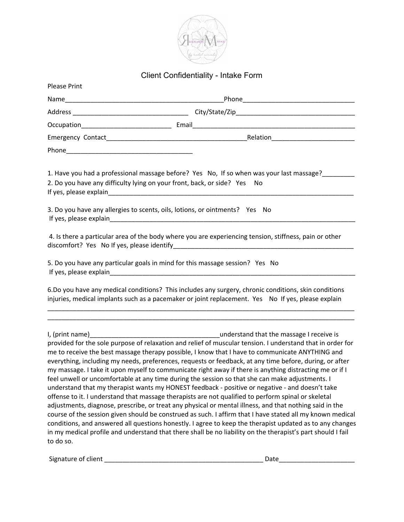

## Client Confidentiality - Intake Form

| <b>Please Print</b>    |                                                                                                                                                                                                                                                                                                                                                                                                                                                                                                                                                                                                                                                                                                                                                                                                                                                                                                                                                                                                                                                                                                                                                                                                     |
|------------------------|-----------------------------------------------------------------------------------------------------------------------------------------------------------------------------------------------------------------------------------------------------------------------------------------------------------------------------------------------------------------------------------------------------------------------------------------------------------------------------------------------------------------------------------------------------------------------------------------------------------------------------------------------------------------------------------------------------------------------------------------------------------------------------------------------------------------------------------------------------------------------------------------------------------------------------------------------------------------------------------------------------------------------------------------------------------------------------------------------------------------------------------------------------------------------------------------------------|
|                        |                                                                                                                                                                                                                                                                                                                                                                                                                                                                                                                                                                                                                                                                                                                                                                                                                                                                                                                                                                                                                                                                                                                                                                                                     |
|                        |                                                                                                                                                                                                                                                                                                                                                                                                                                                                                                                                                                                                                                                                                                                                                                                                                                                                                                                                                                                                                                                                                                                                                                                                     |
|                        |                                                                                                                                                                                                                                                                                                                                                                                                                                                                                                                                                                                                                                                                                                                                                                                                                                                                                                                                                                                                                                                                                                                                                                                                     |
|                        |                                                                                                                                                                                                                                                                                                                                                                                                                                                                                                                                                                                                                                                                                                                                                                                                                                                                                                                                                                                                                                                                                                                                                                                                     |
|                        |                                                                                                                                                                                                                                                                                                                                                                                                                                                                                                                                                                                                                                                                                                                                                                                                                                                                                                                                                                                                                                                                                                                                                                                                     |
|                        | 1. Have you had a professional massage before? Yes No, If so when was your last massage?<br>2. Do you have any difficulty lying on your front, back, or side? Yes No                                                                                                                                                                                                                                                                                                                                                                                                                                                                                                                                                                                                                                                                                                                                                                                                                                                                                                                                                                                                                                |
|                        | 3. Do you have any allergies to scents, oils, lotions, or ointments? Yes No                                                                                                                                                                                                                                                                                                                                                                                                                                                                                                                                                                                                                                                                                                                                                                                                                                                                                                                                                                                                                                                                                                                         |
|                        | 4. Is there a particular area of the body where you are experiencing tension, stiffness, pain or other                                                                                                                                                                                                                                                                                                                                                                                                                                                                                                                                                                                                                                                                                                                                                                                                                                                                                                                                                                                                                                                                                              |
| If yes, please explain | 5. Do you have any particular goals in mind for this massage session? Yes No                                                                                                                                                                                                                                                                                                                                                                                                                                                                                                                                                                                                                                                                                                                                                                                                                                                                                                                                                                                                                                                                                                                        |
|                        | 6.Do you have any medical conditions? This includes any surgery, chronic conditions, skin conditions<br>injuries, medical implants such as a pacemaker or joint replacement. Yes No If yes, please explain                                                                                                                                                                                                                                                                                                                                                                                                                                                                                                                                                                                                                                                                                                                                                                                                                                                                                                                                                                                          |
| to do so.              | provided for the sole purpose of relaxation and relief of muscular tension. I understand that in order for<br>me to receive the best massage therapy possible, I know that I have to communicate ANYTHING and<br>everything, including my needs, preferences, requests or feedback, at any time before, during, or after<br>my massage. I take it upon myself to communicate right away if there is anything distracting me or if I<br>feel unwell or uncomfortable at any time during the session so that she can make adjustments. I<br>understand that my therapist wants my HONEST feedback - positive or negative - and doesn't take<br>offense to it. I understand that massage therapists are not qualified to perform spinal or skeletal<br>adjustments, diagnose, prescribe, or treat any physical or mental illness, and that nothing said in the<br>course of the session given should be construed as such. I affirm that I have stated all my known medical<br>conditions, and answered all questions honestly. I agree to keep the therapist updated as to any changes<br>in my medical profile and understand that there shall be no liability on the therapist's part should I fail |

Signature of client \_\_\_\_\_\_\_\_\_\_\_\_\_\_\_\_\_\_\_\_\_\_\_\_\_\_\_\_\_\_\_\_\_\_\_\_\_\_\_\_\_\_\_\_ Date\_\_\_\_\_\_\_\_\_\_\_\_\_\_\_\_\_\_\_\_\_